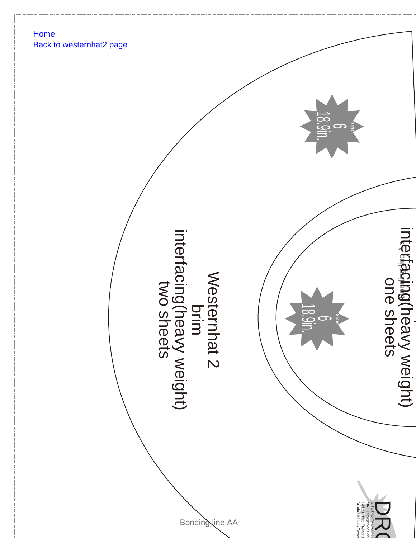



 $\overline{\phantom{0}}$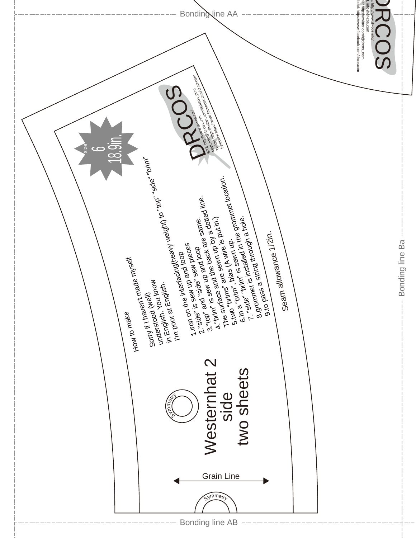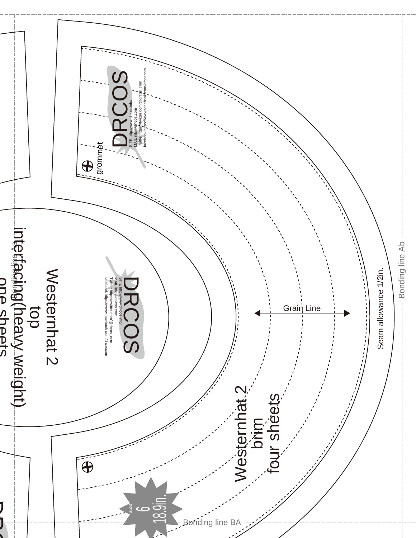